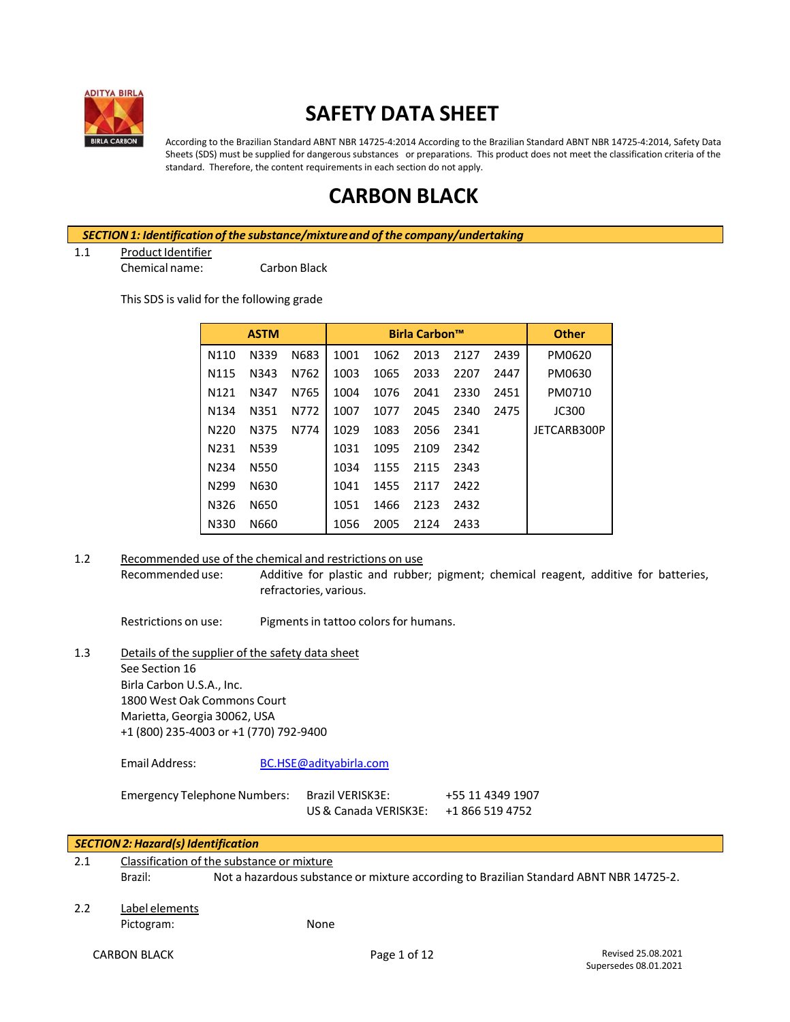

# **SAFETY DATA SHEET**

According to the Brazilian Standard ABNT NBR 14725-4:2014 According to the Brazilian Standard ABNT NBR 14725-4:2014, Safety Data Sheets (SDS) must be supplied for dangerous substances or preparations. This product does not meet the classification criteria of the standard. Therefore, the content requirements in each section do not apply.

# **CARBON BLACK**

*SECTION1: Identificationof the substance/mixtureand of the company/undertaking*

1.1 Product Identifier

Chemical name: Carbon Black

This SDS is valid for the following grade

|                   | <b>ASTM</b> |      |      |      | <b>Birla Carbon™</b> |      |      | <b>Other</b> |
|-------------------|-------------|------|------|------|----------------------|------|------|--------------|
| N110              | N339        | N683 | 1001 | 1062 | 2013                 | 2127 | 2439 | PM0620       |
| N <sub>115</sub>  | N343        | N762 | 1003 | 1065 | 2033                 | 2207 | 2447 | PM0630       |
| N <sub>121</sub>  | N347        | N765 | 1004 | 1076 | 2041                 | 2330 | 2451 | PM0710       |
| N <sub>1</sub> 34 | N351        | N772 | 1007 | 1077 | 2045                 | 2340 | 2475 | <b>JC300</b> |
| N220              | N375        | N774 | 1029 | 1083 | 2056                 | 2341 |      | JETCARB300P  |
| N231              | N539        |      | 1031 | 1095 | 2109                 | 2342 |      |              |
| N <sub>2</sub> 34 | <b>N550</b> |      | 1034 | 1155 | 2115                 | 2343 |      |              |
| N <sub>299</sub>  | N630        |      | 1041 | 1455 | 2117                 | 2422 |      |              |
| N326              | N650        |      | 1051 | 1466 | 2123                 | 2432 |      |              |
| N330              | N660        |      | 1056 | 2005 | 2124                 | 2433 |      |              |

1.2 Recommended use of the chemical and restrictions on use Recommended use: Additive for plastic and rubber; pigment; chemical reagent, additive for batteries, refractories, various.

Restrictions on use: Pigments in tattoo colors for humans.

1.3 Details of the supplier of the safety data sheet See Section 16 Birla Carbon U.S.A., Inc. 1800 West Oak Commons Court Marietta, Georgia 30062, USA +1 (800) 235-4003 or +1 (770) 792-9400

Email Address: [BC.HSE@adityabirla.com](mailto:BC.HSE@adityabirla.com)

Emergency Telephone Numbers: Brazil VERISK3E: +55 11 4349 1907

US& Canada VERISK3E: +1 866 519 4752

| 2.1 | Classification of the substance or mixture |                                                                                        |  |  |  |  |
|-----|--------------------------------------------|----------------------------------------------------------------------------------------|--|--|--|--|
|     | Brazil:                                    | Not a hazardous substance or mixture according to Brazilian Standard ABNT NBR 14725-2. |  |  |  |  |
| 2.2 | Label elements                             |                                                                                        |  |  |  |  |
|     | Pictogram:                                 | None                                                                                   |  |  |  |  |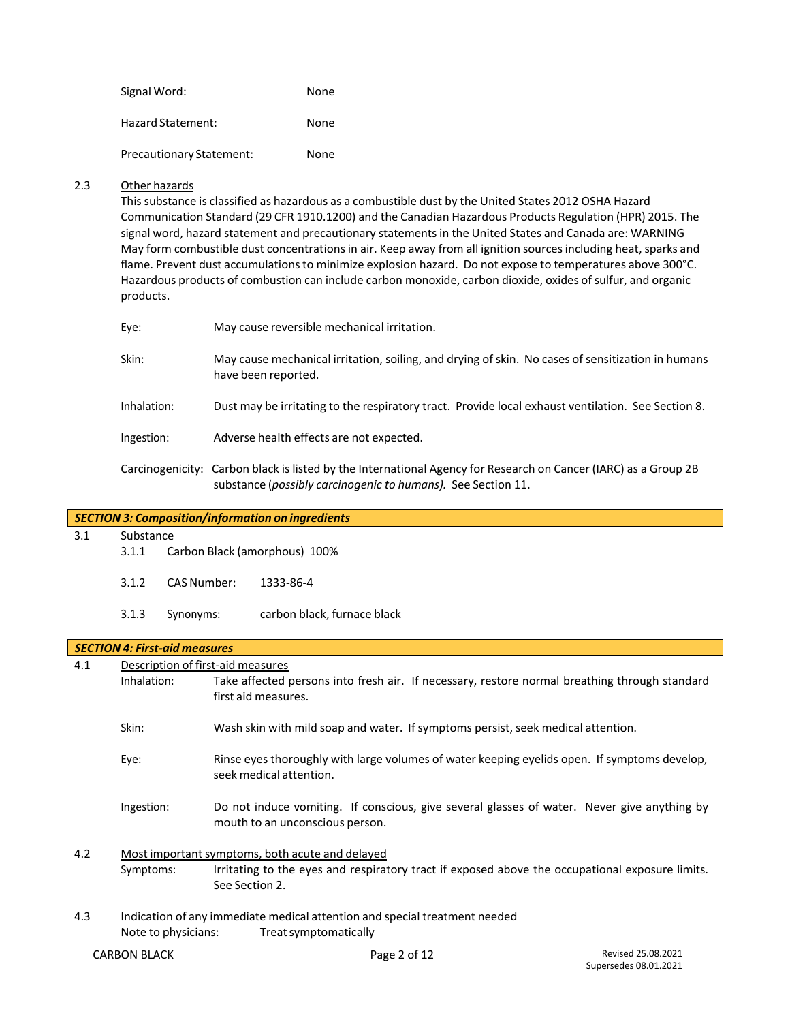Signal Word: None Hazard Statement: None

Precautionary Statement: None

## 2.3 Other hazards

This substance is classified as hazardous as a combustible dust by the United States 2012 OSHA Hazard Communication Standard (29 CFR 1910.1200) and the Canadian Hazardous Products Regulation (HPR) 2015. The signal word, hazard statement and precautionary statementsin the United States and Canada are: WARNING May form combustible dust concentrations in air. Keep away from all ignition sources including heat, sparks and flame. Prevent dust accumulations to minimize explosion hazard. Do not expose to temperatures above 300°C. Hazardous products of combustion can include carbon monoxide, carbon dioxide, oxides of sulfur, and organic products.

| Eye:        | May cause reversible mechanical irritation.                                                                                                                                     |
|-------------|---------------------------------------------------------------------------------------------------------------------------------------------------------------------------------|
| Skin:       | May cause mechanical irritation, soiling, and drying of skin. No cases of sensitization in humans<br>have been reported.                                                        |
| Inhalation: | Dust may be irritating to the respiratory tract. Provide local exhaust ventilation. See Section 8.                                                                              |
| Ingestion:  | Adverse health effects are not expected.                                                                                                                                        |
|             | Carcinogenicity: Carbon black is listed by the International Agency for Research on Cancer (IARC) as a Group 2B<br>substance (possibly carcinogenic to humans). See Section 11. |

| 3.1 | Substance                         |                                      |                               |  |  |
|-----|-----------------------------------|--------------------------------------|-------------------------------|--|--|
|     | 3.1.1                             |                                      | Carbon Black (amorphous) 100% |  |  |
|     | 3.1.2                             | <b>CAS Number:</b>                   | 1333-86-4                     |  |  |
|     | 3.1.3                             | Synonyms:                            | carbon black, furnace black   |  |  |
|     |                                   | <b>SECTION 4: First-aid measures</b> |                               |  |  |
| 4.1 | Description of first-aid measures |                                      |                               |  |  |

Inhalation: Take affected persons into fresh air. If necessary, restore normal breathing through standard first aid measures.

- Skin: Wash skin with mild soap and water. If symptoms persist, seek medical attention.
- Eye: Rinse eyes thoroughly with large volumes of water keeping eyelids open. If symptoms develop, seek medical attention.
- Ingestion: Do not induce vomiting. If conscious, give several glasses of water. Never give anything by mouth to an unconscious person.
- 4.2 Most important symptoms, both acute and delayed Symptoms: Irritating to the eyes and respiratory tract if exposed above the occupational exposure limits. See Section 2.
- 4.3 Indication of any immediate medical attention and special treatment needed Note to physicians: Treatsymptomatically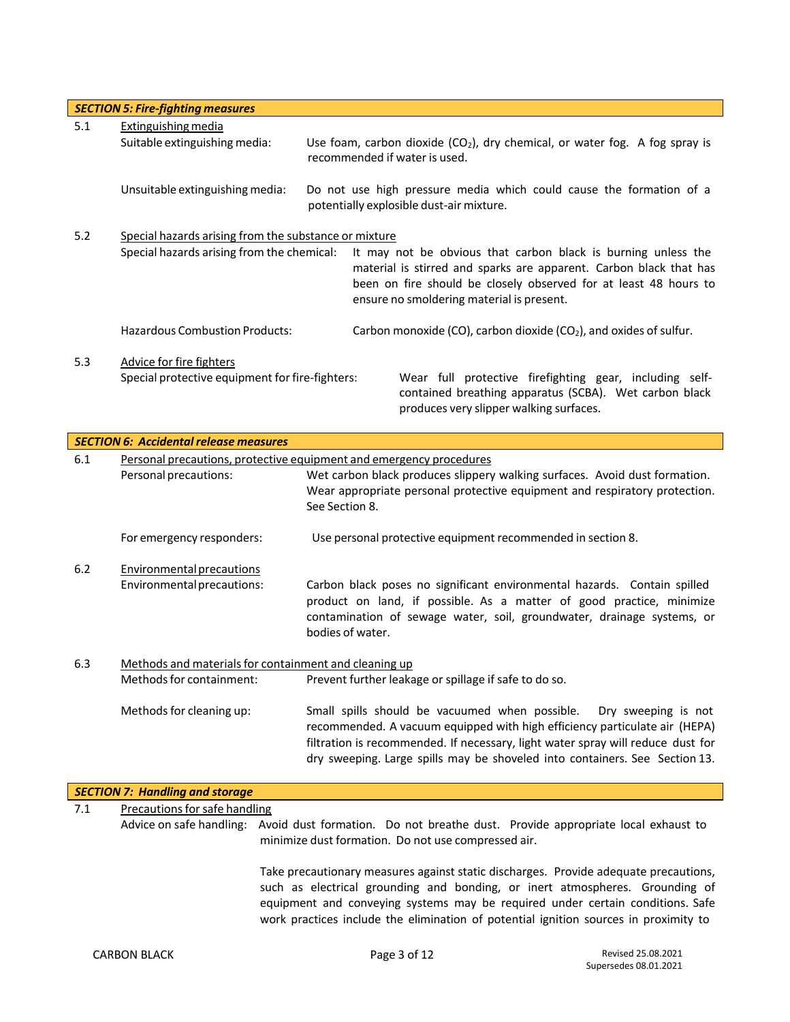|     | <b>SECTION 5: Fire-fighting measures</b>                                           |  |                                                                                                                                                                                                                                                      |  |  |
|-----|------------------------------------------------------------------------------------|--|------------------------------------------------------------------------------------------------------------------------------------------------------------------------------------------------------------------------------------------------------|--|--|
| 5.1 | Extinguishing media                                                                |  |                                                                                                                                                                                                                                                      |  |  |
|     | Suitable extinguishing media:                                                      |  | Use foam, carbon dioxide $(CO_2)$ , dry chemical, or water fog. A fog spray is<br>recommended if water is used.                                                                                                                                      |  |  |
|     | Unsuitable extinguishing media:                                                    |  | Do not use high pressure media which could cause the formation of a<br>potentially explosible dust-air mixture.                                                                                                                                      |  |  |
| 5.2 | Special hazards arising from the substance or mixture                              |  |                                                                                                                                                                                                                                                      |  |  |
|     | Special hazards arising from the chemical:                                         |  | It may not be obvious that carbon black is burning unless the<br>material is stirred and sparks are apparent. Carbon black that has<br>been on fire should be closely observed for at least 48 hours to<br>ensure no smoldering material is present. |  |  |
|     | <b>Hazardous Combustion Products:</b>                                              |  | Carbon monoxide (CO), carbon dioxide (CO <sub>2</sub> ), and oxides of sulfur.                                                                                                                                                                       |  |  |
| 5.3 | <b>Advice for fire fighters</b><br>Special protective equipment for fire-fighters: |  | Wear full protective firefighting gear, including self-<br>contained breathing apparatus (SCBA). Wet carbon black<br>produces very slipper walking surfaces.                                                                                         |  |  |
|     | <b>SECTION 6: Accidental release measures</b>                                      |  |                                                                                                                                                                                                                                                      |  |  |

| 6.1 |                                                       | Personal precautions, protective equipment and emergency procedures                                                                                                                                                                                                                                                   |  |
|-----|-------------------------------------------------------|-----------------------------------------------------------------------------------------------------------------------------------------------------------------------------------------------------------------------------------------------------------------------------------------------------------------------|--|
|     | Personal precautions:                                 | Wet carbon black produces slippery walking surfaces. Avoid dust formation.                                                                                                                                                                                                                                            |  |
|     |                                                       | Wear appropriate personal protective equipment and respiratory protection.                                                                                                                                                                                                                                            |  |
|     |                                                       | See Section 8.                                                                                                                                                                                                                                                                                                        |  |
|     | For emergency responders:                             | Use personal protective equipment recommended in section 8.                                                                                                                                                                                                                                                           |  |
| 6.2 | Environmental precautions                             |                                                                                                                                                                                                                                                                                                                       |  |
|     | Environmental precautions:                            | Carbon black poses no significant environmental hazards. Contain spilled<br>product on land, if possible. As a matter of good practice, minimize<br>contamination of sewage water, soil, groundwater, drainage systems, or                                                                                            |  |
|     |                                                       | bodies of water.                                                                                                                                                                                                                                                                                                      |  |
| 6.3 | Methods and materials for containment and cleaning up |                                                                                                                                                                                                                                                                                                                       |  |
|     | Methods for containment:                              | Prevent further leakage or spillage if safe to do so.                                                                                                                                                                                                                                                                 |  |
|     | Methods for cleaning up:                              | Small spills should be vacuumed when possible.<br>Dry sweeping is not<br>recommended. A vacuum equipped with high efficiency particulate air (HEPA)<br>filtration is recommended. If necessary, light water spray will reduce dust for<br>dry sweeping. Large spills may be shoveled into containers. See Section 13. |  |
|     | <b>SECTION 7: Handling and storage</b>                |                                                                                                                                                                                                                                                                                                                       |  |

## 7.1 Precautions for safe handling

Advice on safe handling: Avoid dust formation. Do not breathe dust. Provide appropriate local exhaust to minimize dust formation. Do not use compressed air.

> Take precautionary measures against static discharges. Provide adequate precautions, such as electrical grounding and bonding, or inert atmospheres. Grounding of equipment and conveying systems may be required under certain conditions. Safe work practices include the elimination of potential ignition sources in proximity to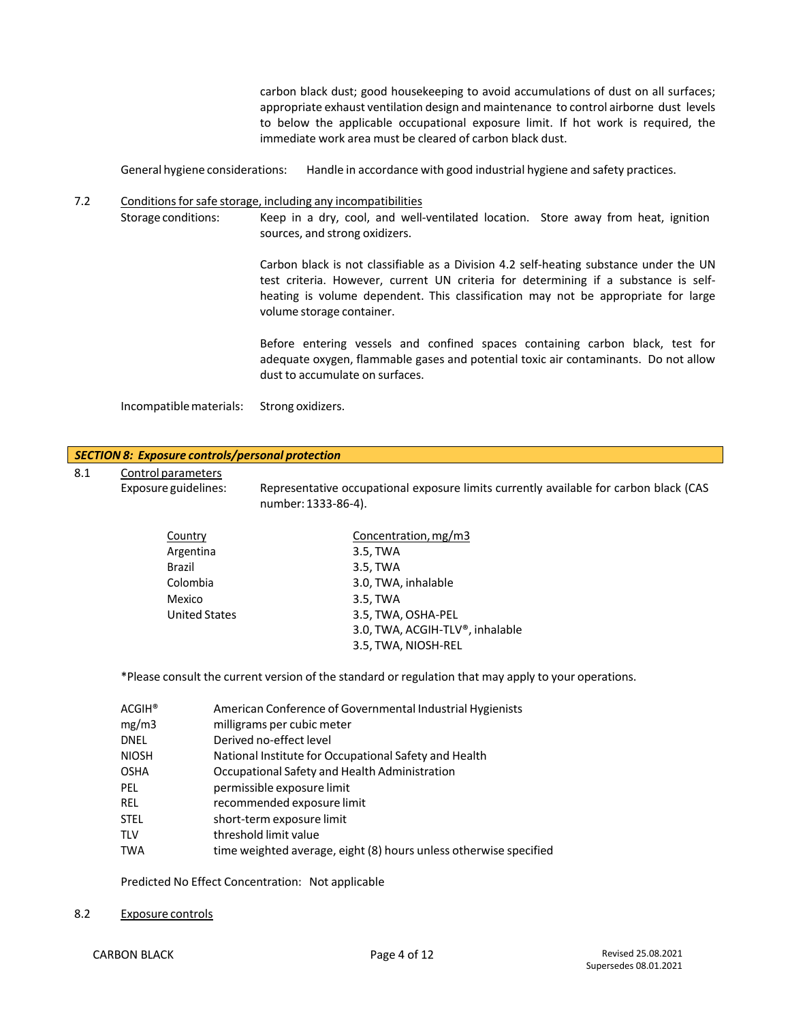carbon black dust; good housekeeping to avoid accumulations of dust on all surfaces; appropriate exhaust ventilation design and maintenance to control airborne dust levels to below the applicable occupational exposure limit. If hot work is required, the immediate work area must be cleared of carbon black dust.

General hygiene considerations: Handle in accordance with good industrial hygiene and safety practices.

## 7.2 Conditions for safe storage, including any incompatibilities

Storage conditions: Keep in a dry, cool, and well-ventilated location. Store away from heat, ignition sources, and strong oxidizers.

> Carbon black is not classifiable as a Division 4.2 self-heating substance under the UN test criteria. However, current UN criteria for determining if a substance is selfheating is volume dependent. This classification may not be appropriate for large volume storage container.

> Before entering vessels and confined spaces containing carbon black, test for adequate oxygen, flammable gases and potential toxic air contaminants. Do not allow dust to accumulate on surfaces.

Incompatiblematerials: Strong oxidizers.

|                            | <b>SECTION 8: Exposure controls/personal protection</b>                                                                                                                                                                    |
|----------------------------|----------------------------------------------------------------------------------------------------------------------------------------------------------------------------------------------------------------------------|
| Control parameters         |                                                                                                                                                                                                                            |
| Exposure guidelines:       | Representative occupational exposure limits currently available for carbon black (CAS<br>number: 1333-86-4).                                                                                                               |
| Country                    | Concentration, mg/m3                                                                                                                                                                                                       |
| Argentina                  | 3.5, TWA                                                                                                                                                                                                                   |
| <b>Brazil</b>              | 3.5, TWA                                                                                                                                                                                                                   |
| Colombia                   | 3.0, TWA, inhalable                                                                                                                                                                                                        |
| Mexico                     | 3.5, TWA                                                                                                                                                                                                                   |
| <b>United States</b>       | 3.5, TWA, OSHA-PEL                                                                                                                                                                                                         |
|                            | 3.0, TWA, ACGIH-TLV®, inhalable                                                                                                                                                                                            |
|                            | 3.5, TWA, NIOSH-REL                                                                                                                                                                                                        |
| $ACGIH^*$<br>mg/m3         | *Please consult the current version of the standard or regulation that may apply to your operations.<br>American Conference of Governmental Industrial Hygienists<br>milligrams per cubic meter<br>Derived no-effect level |
|                            | National Institute for Occupational Safety and Health                                                                                                                                                                      |
|                            | Occupational Safety and Health Administration                                                                                                                                                                              |
| permissible exposure limit |                                                                                                                                                                                                                            |
| recommended exposure limit |                                                                                                                                                                                                                            |
| short-term exposure limit  |                                                                                                                                                                                                                            |
|                            | threshold limit value                                                                                                                                                                                                      |
|                            | time weighted average, eight (8) hours unless otherwise specified                                                                                                                                                          |
|                            | Predicted No Effect Concentration: Not applicable                                                                                                                                                                          |
|                            | <b>DNEL</b><br><b>NIOSH</b><br><b>OSHA</b><br>PEL<br><b>REL</b><br><b>STEL</b><br><b>TLV</b><br><b>TWA</b>                                                                                                                 |

8.2 Exposure controls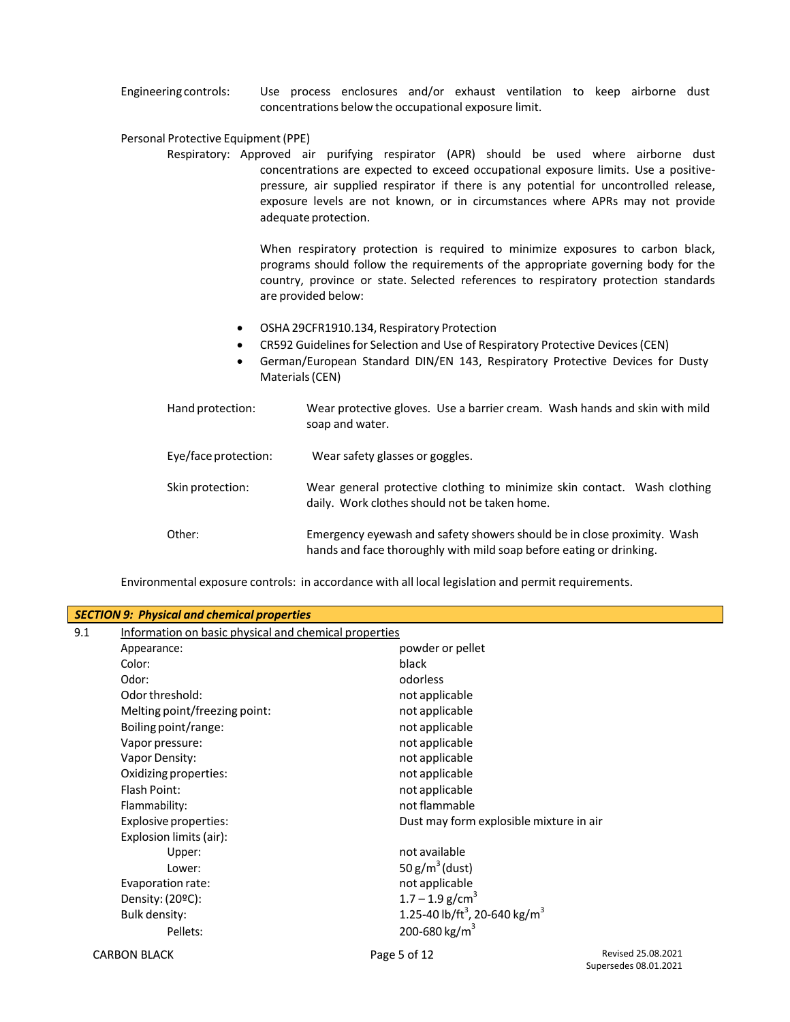Engineering controls: Use process enclosures and/or exhaust ventilation to keep airborne dust concentrations below the occupational exposure limit.

#### Personal Protective Equipment (PPE)

Respiratory: Approved air purifying respirator (APR) should be used where airborne dust concentrations are expected to exceed occupational exposure limits. Use a positivepressure, air supplied respirator if there is any potential for uncontrolled release, exposure levels are not known, or in circumstances where APRs may not provide adequate protection.

> When respiratory protection is required to minimize exposures to carbon black, programs should follow the requirements of the appropriate governing body for the country, province or state. Selected references to respiratory protection standards are provided below:

- OSHA 29CFR1910.134, Respiratory Protection
- CR592 Guidelines for Selection and Use of Respiratory Protective Devices (CEN)
- German/European Standard DIN/EN 143, Respiratory Protective Devices for Dusty Materials(CEN)

| Hand protection:     | Wear protective gloves. Use a barrier cream. Wash hands and skin with mild<br>soap and water.                                                  |
|----------------------|------------------------------------------------------------------------------------------------------------------------------------------------|
| Eye/face protection: | Wear safety glasses or goggles.                                                                                                                |
| Skin protection:     | Wear general protective clothing to minimize skin contact. Wash clothing<br>daily. Work clothes should not be taken home.                      |
| Other:               | Emergency eyewash and safety showers should be in close proximity. Wash<br>hands and face thoroughly with mild soap before eating or drinking. |

Environmental exposure controls: in accordance with all local legislation and permit requirements.

|     | <b>SECTION 9: Physical and chemical properties</b> |                                                       |                                             |  |  |  |
|-----|----------------------------------------------------|-------------------------------------------------------|---------------------------------------------|--|--|--|
| 9.1 |                                                    | Information on basic physical and chemical properties |                                             |  |  |  |
|     | Appearance:                                        | powder or pellet                                      |                                             |  |  |  |
|     | Color:                                             | black                                                 |                                             |  |  |  |
|     | Odor:                                              | odorless                                              |                                             |  |  |  |
|     | Odor threshold:                                    | not applicable                                        |                                             |  |  |  |
|     | Melting point/freezing point:                      | not applicable                                        |                                             |  |  |  |
|     | Boiling point/range:                               | not applicable                                        |                                             |  |  |  |
|     | Vapor pressure:                                    | not applicable                                        |                                             |  |  |  |
|     | Vapor Density:                                     | not applicable                                        |                                             |  |  |  |
|     | Oxidizing properties:                              | not applicable                                        |                                             |  |  |  |
|     | Flash Point:                                       | not applicable                                        |                                             |  |  |  |
|     | Flammability:                                      | not flammable                                         |                                             |  |  |  |
|     | Explosive properties:                              | Dust may form explosible mixture in air               |                                             |  |  |  |
|     | Explosion limits (air):                            |                                                       |                                             |  |  |  |
|     | Upper:                                             | not available                                         |                                             |  |  |  |
|     | Lower:                                             | 50 $g/m^3$ (dust)                                     |                                             |  |  |  |
|     | Evaporation rate:                                  | not applicable                                        |                                             |  |  |  |
|     | Density: (20°C):                                   | $1.7 - 1.9$ g/cm <sup>3</sup>                         |                                             |  |  |  |
|     | <b>Bulk density:</b>                               | 1.25-40 lb/ft <sup>3</sup> , 20-640 kg/m <sup>3</sup> |                                             |  |  |  |
|     | Pellets:                                           | 200-680 kg/m <sup>3</sup>                             |                                             |  |  |  |
|     | <b>CARBON BLACK</b>                                | Page 5 of 12                                          | Revised 25.08.2021<br>Supersedes 08.01.2021 |  |  |  |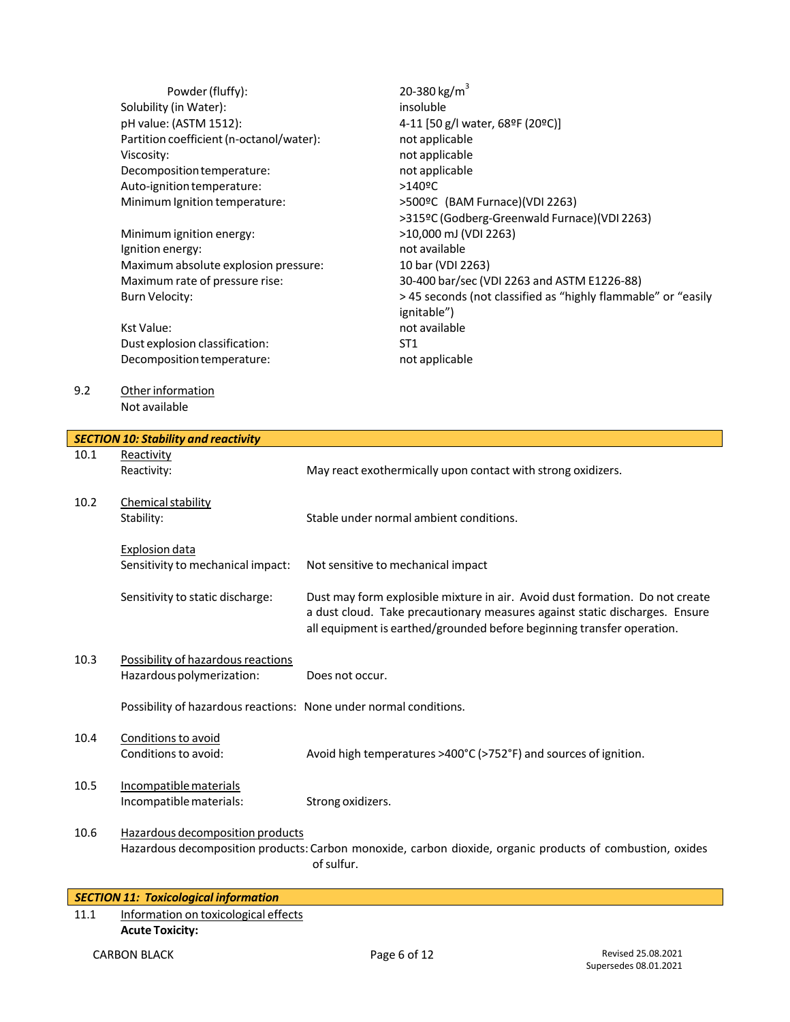|      | Powder (fluffy):<br>Solubility (in Water):<br>pH value: (ASTM 1512):<br>Partition coefficient (n-octanol/water):<br>Viscosity:<br>Decomposition temperature:<br>Auto-ignition temperature:<br>Minimum Ignition temperature:<br>Minimum ignition energy:<br>Ignition energy:<br>Maximum absolute explosion pressure:<br>Maximum rate of pressure rise:<br><b>Burn Velocity:</b><br><b>Kst Value:</b><br>Dust explosion classification:<br>Decomposition temperature: | 20-380 kg/m <sup>3</sup><br>insoluble<br>4-11 [50 g/l water, 68ºF (20ºC)]<br>not applicable<br>not applicable<br>not applicable<br>>140ºC<br>>500ºC (BAM Furnace)(VDI 2263)<br>>315ºC (Godberg-Greenwald Furnace)(VDI 2263)<br>>10,000 mJ (VDI 2263)<br>not available<br>10 bar (VDI 2263)<br>30-400 bar/sec (VDI 2263 and ASTM E1226-88)<br>> 45 seconds (not classified as "highly flammable" or "easily<br>ignitable")<br>not available<br>ST <sub>1</sub><br>not applicable |
|------|---------------------------------------------------------------------------------------------------------------------------------------------------------------------------------------------------------------------------------------------------------------------------------------------------------------------------------------------------------------------------------------------------------------------------------------------------------------------|---------------------------------------------------------------------------------------------------------------------------------------------------------------------------------------------------------------------------------------------------------------------------------------------------------------------------------------------------------------------------------------------------------------------------------------------------------------------------------|
| 9.2  | Other information<br>Not available                                                                                                                                                                                                                                                                                                                                                                                                                                  |                                                                                                                                                                                                                                                                                                                                                                                                                                                                                 |
|      | <b>SECTION 10: Stability and reactivity</b>                                                                                                                                                                                                                                                                                                                                                                                                                         |                                                                                                                                                                                                                                                                                                                                                                                                                                                                                 |
| 10.1 | Reactivity                                                                                                                                                                                                                                                                                                                                                                                                                                                          |                                                                                                                                                                                                                                                                                                                                                                                                                                                                                 |
|      | Reactivity:                                                                                                                                                                                                                                                                                                                                                                                                                                                         | May react exothermically upon contact with strong oxidizers.                                                                                                                                                                                                                                                                                                                                                                                                                    |
| 10.2 | Chemical stability<br>Stability:                                                                                                                                                                                                                                                                                                                                                                                                                                    | Stable under normal ambient conditions.                                                                                                                                                                                                                                                                                                                                                                                                                                         |
|      | <b>Explosion data</b><br>Sensitivity to mechanical impact:                                                                                                                                                                                                                                                                                                                                                                                                          | Not sensitive to mechanical impact                                                                                                                                                                                                                                                                                                                                                                                                                                              |
|      | Sensitivity to static discharge:                                                                                                                                                                                                                                                                                                                                                                                                                                    | Dust may form explosible mixture in air. Avoid dust formation. Do not create<br>a dust cloud. Take precautionary measures against static discharges. Ensure<br>all equipment is earthed/grounded before beginning transfer operation.                                                                                                                                                                                                                                           |
| 10.3 | Possibility of hazardous reactions<br>Hazardous polymerization:                                                                                                                                                                                                                                                                                                                                                                                                     | Does not occur.                                                                                                                                                                                                                                                                                                                                                                                                                                                                 |
|      | Possibility of hazardous reactions: None under normal conditions.                                                                                                                                                                                                                                                                                                                                                                                                   |                                                                                                                                                                                                                                                                                                                                                                                                                                                                                 |
| 10.4 | Conditions to avoid<br>Conditions to avoid:                                                                                                                                                                                                                                                                                                                                                                                                                         | Avoid high temperatures >400°C (>752°F) and sources of ignition.                                                                                                                                                                                                                                                                                                                                                                                                                |
| 10.5 | Incompatible materials<br>Incompatible materials:                                                                                                                                                                                                                                                                                                                                                                                                                   | Strong oxidizers.                                                                                                                                                                                                                                                                                                                                                                                                                                                               |
| 10.6 | Hazardous decomposition products                                                                                                                                                                                                                                                                                                                                                                                                                                    | Hazardous decomposition products: Carbon monoxide, carbon dioxide, organic products of combustion, oxides<br>of sulfur.                                                                                                                                                                                                                                                                                                                                                         |

| SECTION 11: Toxicological information |                                      |  |
|---------------------------------------|--------------------------------------|--|
| 11.1                                  | Information on toxicological effects |  |
|                                       | <b>Acute Toxicity:</b>               |  |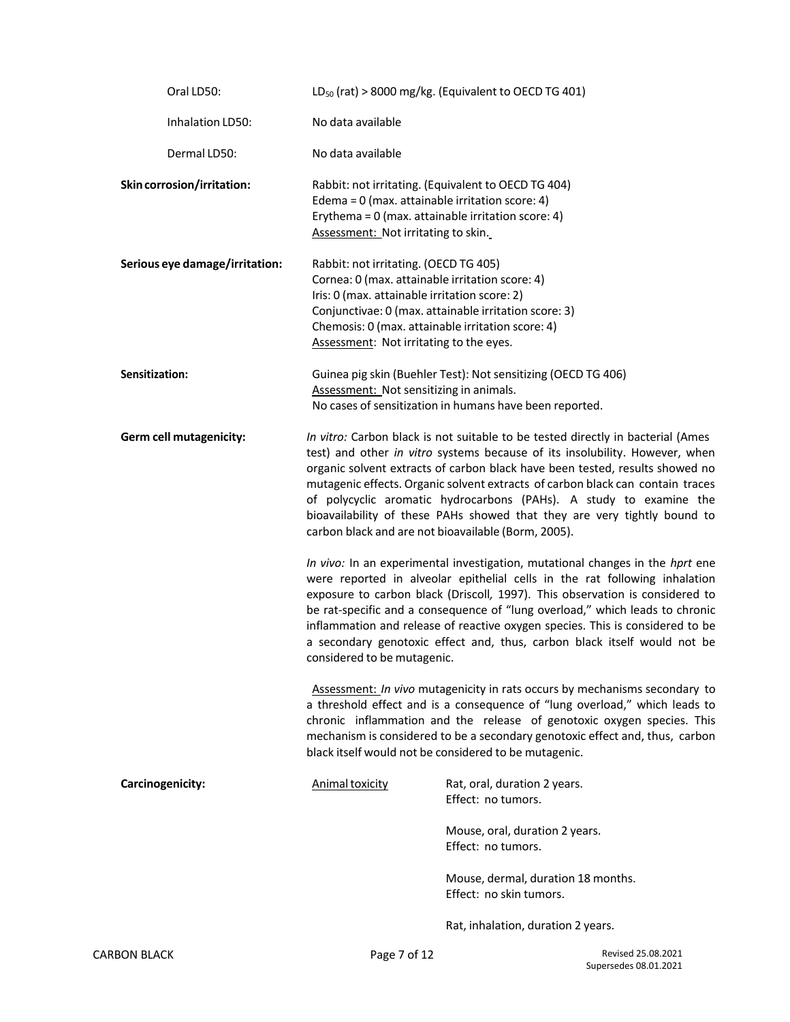| Oral LD50:                     |                                                                                                                                                                                      | $LD_{50}$ (rat) > 8000 mg/kg. (Equivalent to OECD TG 401)                                                                                                                                                                                                                                                                                                                                                                                                                                                                                 |  |
|--------------------------------|--------------------------------------------------------------------------------------------------------------------------------------------------------------------------------------|-------------------------------------------------------------------------------------------------------------------------------------------------------------------------------------------------------------------------------------------------------------------------------------------------------------------------------------------------------------------------------------------------------------------------------------------------------------------------------------------------------------------------------------------|--|
| Inhalation LD50:               | No data available                                                                                                                                                                    |                                                                                                                                                                                                                                                                                                                                                                                                                                                                                                                                           |  |
| Dermal LD50:                   | No data available                                                                                                                                                                    |                                                                                                                                                                                                                                                                                                                                                                                                                                                                                                                                           |  |
| Skin corrosion/irritation:     | Edema = 0 (max. attainable irritation score: 4)<br>Assessment: Not irritating to skin.                                                                                               | Rabbit: not irritating. (Equivalent to OECD TG 404)<br>Erythema = 0 (max. attainable irritation score: 4)                                                                                                                                                                                                                                                                                                                                                                                                                                 |  |
| Serious eye damage/irritation: | Rabbit: not irritating. (OECD TG 405)<br>Cornea: 0 (max. attainable irritation score: 4)<br>Iris: 0 (max. attainable irritation score: 2)<br>Assessment: Not irritating to the eyes. | Conjunctivae: 0 (max. attainable irritation score: 3)<br>Chemosis: 0 (max. attainable irritation score: 4)                                                                                                                                                                                                                                                                                                                                                                                                                                |  |
| Sensitization:                 | Assessment: Not sensitizing in animals.                                                                                                                                              | Guinea pig skin (Buehler Test): Not sensitizing (OECD TG 406)                                                                                                                                                                                                                                                                                                                                                                                                                                                                             |  |
|                                |                                                                                                                                                                                      | No cases of sensitization in humans have been reported.                                                                                                                                                                                                                                                                                                                                                                                                                                                                                   |  |
| Germ cell mutagenicity:        |                                                                                                                                                                                      | In vitro: Carbon black is not suitable to be tested directly in bacterial (Ames<br>test) and other in vitro systems because of its insolubility. However, when<br>organic solvent extracts of carbon black have been tested, results showed no<br>mutagenic effects. Organic solvent extracts of carbon black can contain traces<br>of polycyclic aromatic hydrocarbons (PAHs). A study to examine the<br>bioavailability of these PAHs showed that they are very tightly bound to<br>carbon black and are not bioavailable (Borm, 2005). |  |
|                                | considered to be mutagenic.                                                                                                                                                          | In vivo: In an experimental investigation, mutational changes in the hprt ene<br>were reported in alveolar epithelial cells in the rat following inhalation<br>exposure to carbon black (Driscoll, 1997). This observation is considered to<br>be rat-specific and a consequence of "lung overload," which leads to chronic<br>inflammation and release of reactive oxygen species. This is considered to be<br>a secondary genotoxic effect and, thus, carbon black itself would not be                                                  |  |
|                                |                                                                                                                                                                                      | Assessment: In vivo mutagenicity in rats occurs by mechanisms secondary to<br>a threshold effect and is a consequence of "lung overload," which leads to<br>chronic inflammation and the release of genotoxic oxygen species. This<br>mechanism is considered to be a secondary genotoxic effect and, thus, carbon<br>black itself would not be considered to be mutagenic.                                                                                                                                                               |  |
| Carcinogenicity:               | Animal toxicity                                                                                                                                                                      | Rat, oral, duration 2 years.<br>Effect: no tumors.                                                                                                                                                                                                                                                                                                                                                                                                                                                                                        |  |
|                                |                                                                                                                                                                                      | Mouse, oral, duration 2 years.<br>Effect: no tumors.                                                                                                                                                                                                                                                                                                                                                                                                                                                                                      |  |
|                                |                                                                                                                                                                                      | Mouse, dermal, duration 18 months.<br>Effect: no skin tumors.                                                                                                                                                                                                                                                                                                                                                                                                                                                                             |  |
|                                |                                                                                                                                                                                      | Rat, inhalation, duration 2 years.                                                                                                                                                                                                                                                                                                                                                                                                                                                                                                        |  |
| <b>CARBON BLACK</b>            | Page 7 of 12                                                                                                                                                                         | Revised 25.08.2021                                                                                                                                                                                                                                                                                                                                                                                                                                                                                                                        |  |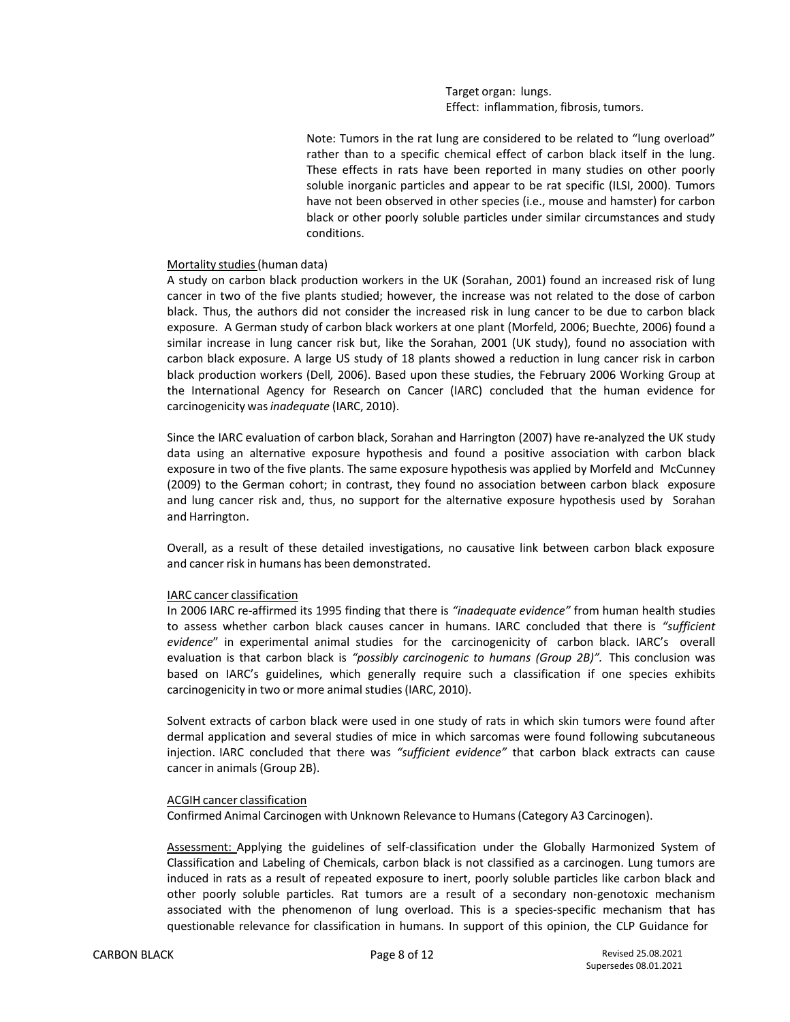Target organ: lungs. Effect: inflammation, fibrosis, tumors.

Note: Tumors in the rat lung are considered to be related to "lung overload" rather than to a specific chemical effect of carbon black itself in the lung. These effects in rats have been reported in many studies on other poorly soluble inorganic particles and appear to be rat specific (ILSI, 2000). Tumors have not been observed in other species (i.e., mouse and hamster) for carbon black or other poorly soluble particles under similar circumstances and study conditions.

#### Mortality studies(human data)

A study on carbon black production workers in the UK (Sorahan, 2001) found an increased risk of lung cancer in two of the five plants studied; however, the increase was not related to the dose of carbon black. Thus, the authors did not consider the increased risk in lung cancer to be due to carbon black exposure. A German study of carbon black workers at one plant (Morfeld, 2006; Buechte, 2006) found a similar increase in lung cancer risk but, like the Sorahan, 2001 (UK study), found no association with carbon black exposure. A large US study of 18 plants showed a reduction in lung cancer risk in carbon black production workers (Dell*,* 2006). Based upon these studies, the February 2006 Working Group at the International Agency for Research on Cancer (IARC) concluded that the human evidence for carcinogenicity was*inadequate* (IARC, 2010).

Since the IARC evaluation of carbon black, Sorahan and Harrington (2007) have re-analyzed the UK study data using an alternative exposure hypothesis and found a positive association with carbon black exposure in two of the five plants. The same exposure hypothesis was applied by Morfeld and McCunney (2009) to the German cohort; in contrast, they found no association between carbon black exposure and lung cancer risk and, thus, no support for the alternative exposure hypothesis used by Sorahan and Harrington.

Overall, as a result of these detailed investigations, no causative link between carbon black exposure and cancer risk in humans has been demonstrated.

#### IARC cancer classification

In 2006 IARC re-affirmed its 1995 finding that there is *"inadequate evidence"* from human health studies to assess whether carbon black causes cancer in humans. IARC concluded that there is *"sufficient evidence*" in experimental animal studies for the carcinogenicity of carbon black. IARC's overall evaluation is that carbon black is *"possibly carcinogenic to humans (Group 2B)".* This conclusion was based on IARC's guidelines, which generally require such a classification if one species exhibits carcinogenicity in two or more animal studies (IARC, 2010).

Solvent extracts of carbon black were used in one study of rats in which skin tumors were found after dermal application and several studies of mice in which sarcomas were found following subcutaneous injection. IARC concluded that there was *"sufficient evidence"* that carbon black extracts can cause cancer in animals(Group 2B).

#### ACGIH cancer classification

Confirmed Animal Carcinogen with Unknown Relevance to Humans(Category A3 Carcinogen).

Assessment: Applying the guidelines of self-classification under the Globally Harmonized System of Classification and Labeling of Chemicals, carbon black is not classified as a carcinogen. Lung tumors are induced in rats as a result of repeated exposure to inert, poorly soluble particles like carbon black and other poorly soluble particles. Rat tumors are a result of a secondary non-genotoxic mechanism associated with the phenomenon of lung overload. This is a species-specific mechanism that has questionable relevance for classification in humans. In support of this opinion, the CLP Guidance for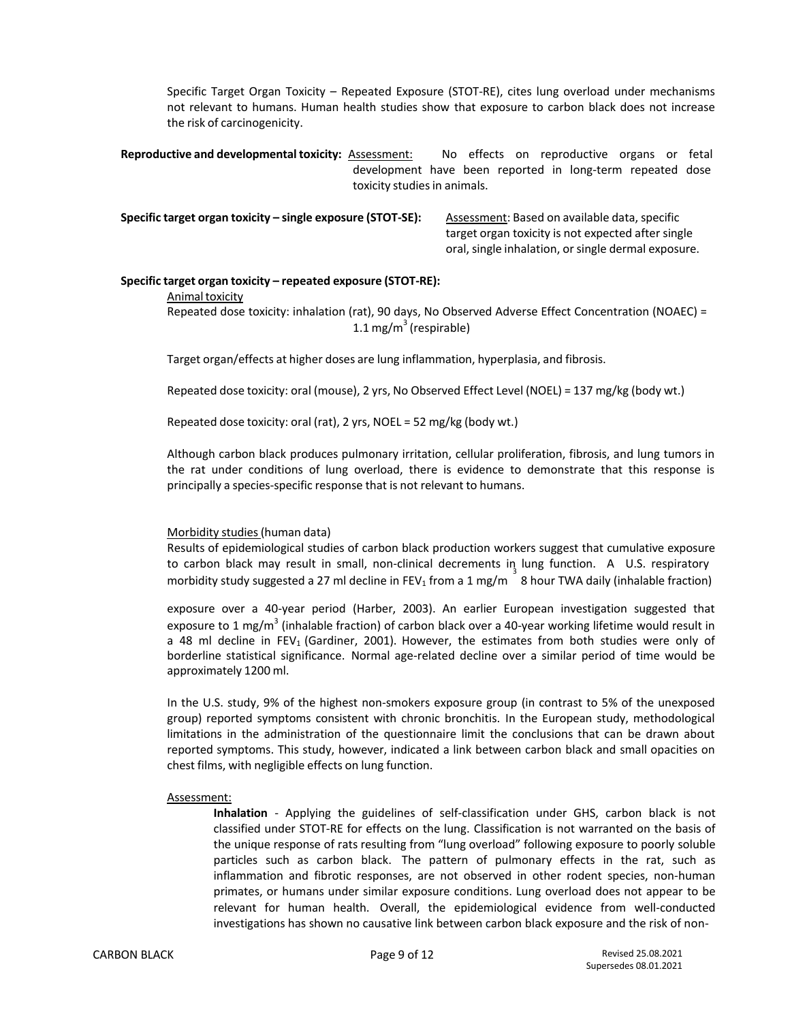Specific Target Organ Toxicity – Repeated Exposure (STOT-RE), cites lung overload under mechanisms not relevant to humans. Human health studies show that exposure to carbon black does not increase the risk of carcinogenicity.

**Reproductive and developmental toxicity:** Assessment: No effects on reproductive organs or fetal development have been reported in long-term repeated dose toxicity studies in animals.

**Specific target organ toxicity – single exposure (STOT-SE):** Assessment: Based on available data, specific

target organ toxicity is not expected after single oral, single inhalation, or single dermal exposure.

### **Specific target organ toxicity – repeated exposure (STOT-RE):**

#### Animal toxicity

Repeated dose toxicity: inhalation (rat), 90 days, No Observed Adverse Effect Concentration (NOAEC) = 1.1 mg/m $3$  (respirable)

Target organ/effects at higher doses are lung inflammation, hyperplasia, and fibrosis.

Repeated dose toxicity: oral (mouse), 2 yrs, No Observed Effect Level (NOEL) = 137 mg/kg (body wt.)

Repeated dose toxicity: oral (rat), 2 yrs, NOEL = 52 mg/kg (body wt.)

Although carbon black produces pulmonary irritation, cellular proliferation, fibrosis, and lung tumors in the rat under conditions of lung overload, there is evidence to demonstrate that this response is principally a species-specific response that is not relevant to humans.

## Morbidity studies(human data)

Results of epidemiological studies of carbon black production workers suggest that cumulative exposure to carbon black may result in small, non-clinical decrements in lung function. A U.S. respiratory and the state of the state of the state in the state of the state of the state of the state of the state of the<br>morbidity study suggested a 27 ml decline in FEV<sub>1</sub> from a 1 mg/m <sup>8</sup> 8 hour TWA daily (inhalable fraction)

exposure over a 40-year period (Harber, 2003). An earlier European investigation suggested that exposure to 1 mg/m<sup>3</sup> (inhalable fraction) of carbon black over a 40-year working lifetime would result in a 48 ml decline in FEV<sub>1</sub> (Gardiner, 2001). However, the estimates from both studies were only of borderline statistical significance. Normal age-related decline over a similar period of time would be approximately 1200 ml.

In the U.S. study, 9% of the highest non-smokers exposure group (in contrast to 5% of the unexposed group) reported symptoms consistent with chronic bronchitis. In the European study, methodological limitations in the administration of the questionnaire limit the conclusions that can be drawn about reported symptoms. This study, however, indicated a link between carbon black and small opacities on chest films, with negligible effects on lung function.

#### Assessment:

**Inhalation** - Applying the guidelines of self-classification under GHS, carbon black is not classified under STOT-RE for effects on the lung. Classification is not warranted on the basis of the unique response of rats resulting from "lung overload" following exposure to poorly soluble particles such as carbon black. The pattern of pulmonary effects in the rat, such as inflammation and fibrotic responses, are not observed in other rodent species, non-human primates, or humans under similar exposure conditions. Lung overload does not appear to be relevant for human health. Overall, the epidemiological evidence from well-conducted investigations has shown no causative link between carbon black exposure and the risk of non-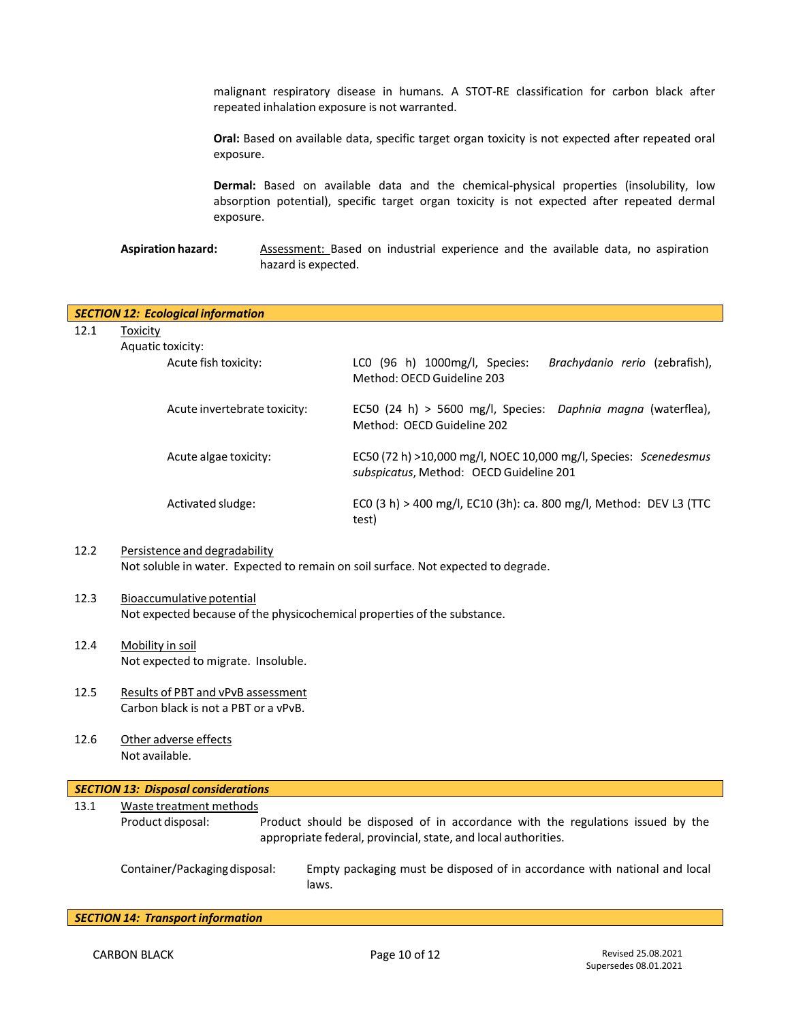malignant respiratory disease in humans. A STOT-RE classification for carbon black after repeated inhalation exposure is not warranted.

**Oral:** Based on available data, specific target organ toxicity is not expected after repeated oral exposure.

**Dermal:** Based on available data and the chemical-physical properties (insolubility, low absorption potential), specific target organ toxicity is not expected after repeated dermal exposure.

**Aspiration hazard:** Assessment: Based on industrial experience and the available data, no aspiration hazard is expected.

| <b>SECTION 12: Ecological information</b> |                                                                                                                     |                                                                                                             |  |
|-------------------------------------------|---------------------------------------------------------------------------------------------------------------------|-------------------------------------------------------------------------------------------------------------|--|
| 12.1                                      | Toxicity                                                                                                            |                                                                                                             |  |
|                                           | Aquatic toxicity:                                                                                                   |                                                                                                             |  |
|                                           | Acute fish toxicity:                                                                                                | $LCO$ (96 h) 1000mg/l, Species:<br><i>Brachydanio rerio</i> (zebrafish),<br>Method: OECD Guideline 203      |  |
|                                           | Acute invertebrate toxicity:                                                                                        | EC50 (24 h) > 5600 mg/l, Species: Daphnia magna (waterflea),<br>Method: OECD Guideline 202                  |  |
|                                           | Acute algae toxicity:                                                                                               | EC50 (72 h) >10,000 mg/l, NOEC 10,000 mg/l, Species: Scenedesmus<br>subspicatus, Method: OECD Guideline 201 |  |
|                                           | Activated sludge:                                                                                                   | ECO (3 h) > 400 mg/l, EC10 (3h): ca. 800 mg/l, Method: DEV L3 (TTC<br>test)                                 |  |
| 12.2                                      | Persistence and degradability<br>Not soluble in water. Expected to remain on soil surface. Not expected to degrade. |                                                                                                             |  |
|                                           |                                                                                                                     |                                                                                                             |  |

- 12.3 Bioaccumulative potential Not expected because of the physicochemical properties of the substance.
- 12.4 Mobility in soil Not expected to migrate. Insoluble.
- 12.5 Results of PBT and vPvB assessment Carbon black is not a PBT or a vPvB.
- 12.6 Other adverse effects Not available.

| SECTION 13: Disposal considerations |                                                                                                                                                                       |                                                                                    |  |  |
|-------------------------------------|-----------------------------------------------------------------------------------------------------------------------------------------------------------------------|------------------------------------------------------------------------------------|--|--|
| 13.1                                | Waste treatment methods                                                                                                                                               |                                                                                    |  |  |
|                                     | Product should be disposed of in accordance with the regulations issued by the<br>Product disposal:<br>appropriate federal, provincial, state, and local authorities. |                                                                                    |  |  |
|                                     | Container/Packaging disposal:                                                                                                                                         | Empty packaging must be disposed of in accordance with national and local<br>laws. |  |  |

*SECTION 14: Transport information*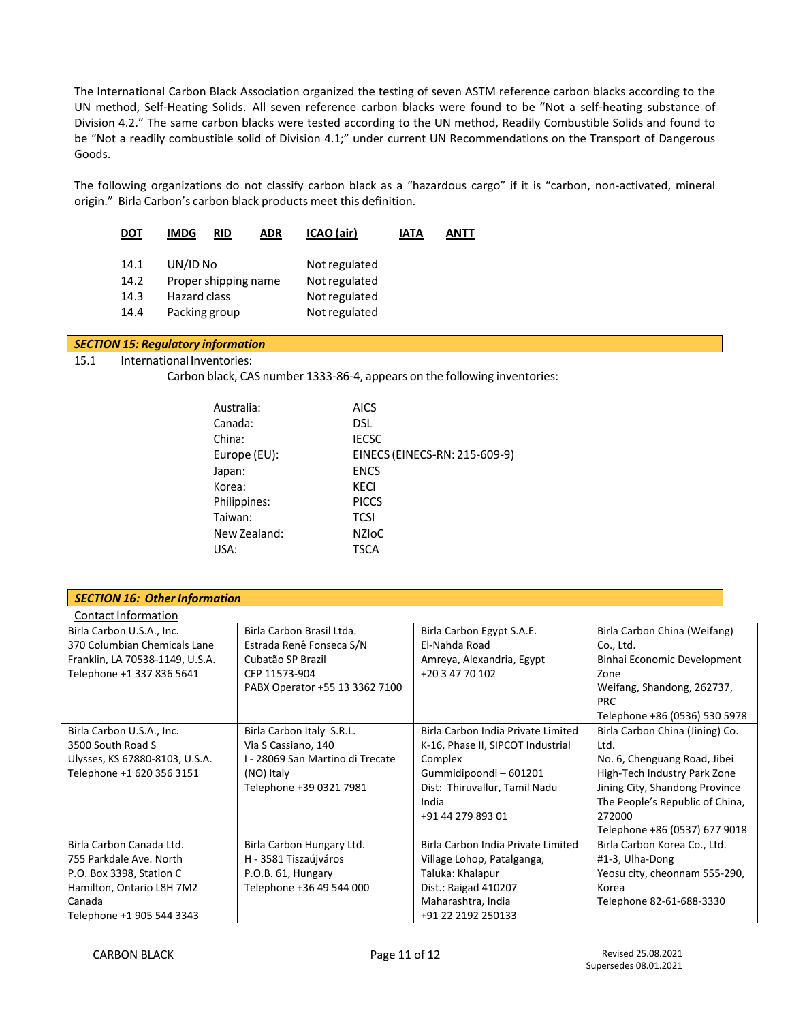The International Carbon Black Association organized the testing of seven ASTM reference carbon blacks according to the UN method, Self-Heating Solids. All seven reference carbon blacks were found to be "Not a self-heating substance of Division 4.2." The same carbon blacks were tested according to the UN method, Readily Combustible Solids and found to be "Not a readily combustible solid of Division 4.1;" under current UN Recommendations on the Transport of Dangerous Goods.

The following organizations do not classify carbon black as a "hazardous cargo" if it is "carbon, non-activated, mineral origin." Birla Carbon's carbon black products meet this definition.

| DOT  | IMDG<br><b>RID</b>   | ICAO (air)<br><b>ADR</b> | IATA | ANTT |
|------|----------------------|--------------------------|------|------|
| 14.1 | UN/ID No             | Not regulated            |      |      |
| 14.2 | Proper shipping name | Not regulated            |      |      |
| 14.3 | Hazard class         | Not regulated            |      |      |
| 14.4 | Packing group        | Not regulated            |      |      |
|      |                      |                          |      |      |

## *SECTION 15: Regulatory information*

## 15.1 International Inventories:

Carbon black, CAS number 1333-86-4, appears on the following inventories:

| Australia:   | AICS                          |
|--------------|-------------------------------|
| Canada:      | DSL.                          |
| China:       | <b>IECSC</b>                  |
| Europe (EU): | EINECS (EINECS-RN: 215-609-9) |
| Japan:       | <b>ENCS</b>                   |
| Korea:       | KECI                          |
| Philippines: | <b>PICCS</b>                  |
| Taiwan:      | <b>TCSI</b>                   |
| New Zealand: | <b>NZIOC</b>                  |
| USA:         | <b>TSCA</b>                   |
|              |                               |

| <b>SECTION 16: Other Information</b> |                                  |                                    |                                          |
|--------------------------------------|----------------------------------|------------------------------------|------------------------------------------|
| Contact Information                  |                                  |                                    |                                          |
| Birla Carbon U.S.A., Inc.            | Birla Carbon Brasil Ltda.        | Birla Carbon Egypt S.A.E.          | Birla Carbon China (Weifang)             |
| 370 Columbian Chemicals Lane         | Estrada Renê Fonseca S/N         | El-Nahda Road                      | Co., Ltd.                                |
| Franklin, LA 70538-1149, U.S.A.      | Cubatão SP Brazil                | Amreya, Alexandria, Egypt          | Binhai Economic Development              |
| Telephone +1 337 836 5641            | CEP 11573-904                    | +20 3 47 70 102                    | Zone                                     |
|                                      | PABX Operator +55 13 3362 7100   |                                    | Weifang, Shandong, 262737,<br><b>PRC</b> |
|                                      |                                  |                                    | Telephone +86 (0536) 530 5978            |
| Birla Carbon U.S.A., Inc.            | Birla Carbon Italy S.R.L.        | Birla Carbon India Private Limited | Birla Carbon China (Jining) Co.          |
| 3500 South Road S                    | Via S Cassiano, 140              | K-16, Phase II, SIPCOT Industrial  | Ltd.                                     |
| Ulysses, KS 67880-8103, U.S.A.       | I - 28069 San Martino di Trecate | Complex                            | No. 6, Chenguang Road, Jibei             |
| Telephone +1 620 356 3151            | (NO) Italy                       | Gummidipoondi - 601201             | High-Tech Industry Park Zone             |
|                                      | Telephone +39 0321 7981          | Dist: Thiruvallur, Tamil Nadu      | Jining City, Shandong Province           |
|                                      |                                  | India                              | The People's Republic of China,          |
|                                      |                                  | +91 44 279 893 01                  | 272000                                   |
|                                      |                                  |                                    | Telephone +86 (0537) 677 9018            |
| Birla Carbon Canada Ltd.             | Birla Carbon Hungary Ltd.        | Birla Carbon India Private Limited | Birla Carbon Korea Co., Ltd.             |
| 755 Parkdale Ave. North              | H - 3581 Tiszaújváros            | Village Lohop, Patalganga,         | #1-3, Ulha-Dong                          |
| P.O. Box 3398, Station C             | P.O.B. 61, Hungary               | Taluka: Khalapur                   | Yeosu city, cheonnam 555-290,            |
| Hamilton, Ontario L8H 7M2            | Telephone +36 49 544 000         | Dist.: Raigad 410207               | Korea                                    |
| Canada                               |                                  | Maharashtra, India                 | Telephone 82-61-688-3330                 |
| Telephone +1 905 544 3343            |                                  | +91 22 2192 250133                 |                                          |